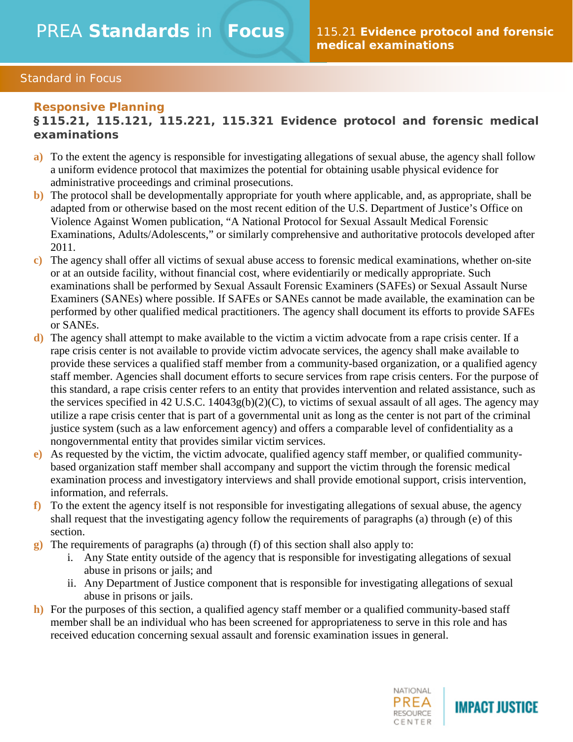### Standard in Focus

#### **Responsive Planning**

**§115.21, 115.121, 115.221, 115.321 Evidence protocol and forensic medical examinations**

- **a)** To the extent the agency is responsible for investigating allegations of sexual abuse, the agency shall follow a uniform evidence protocol that maximizes the potential for obtaining usable physical evidence for administrative proceedings and criminal prosecutions.
- **b)** The protocol shall be developmentally appropriate for youth where applicable, and, as appropriate, shall be adapted from or otherwise based on the most recent edition of the U.S. Department of Justice's Office on Violence Against Women publication, "A National Protocol for Sexual Assault Medical Forensic Examinations, Adults/Adolescents," or similarly comprehensive and authoritative protocols developed after 2011.
- **c)** The agency shall offer all victims of sexual abuse access to forensic medical examinations, whether on-site or at an outside facility, without financial cost, where evidentiarily or medically appropriate. Such examinations shall be performed by Sexual Assault Forensic Examiners (SAFEs) or Sexual Assault Nurse Examiners (SANEs) where possible. If SAFEs or SANEs cannot be made available, the examination can be performed by other qualified medical practitioners. The agency shall document its efforts to provide SAFEs or SANEs.
- **d)** The agency shall attempt to make available to the victim a victim advocate from a rape crisis center. If a rape crisis center is not available to provide victim advocate services, the agency shall make available to provide these services a qualified staff member from a community-based organization, or a qualified agency staff member. Agencies shall document efforts to secure services from rape crisis centers. For the purpose of this standard, a rape crisis center refers to an entity that provides intervention and related assistance, such as the services specified in 42 U.S.C. 14043g(b)(2)(C), to victims of sexual assault of all ages. The agency may utilize a rape crisis center that is part of a governmental unit as long as the center is not part of the criminal justice system (such as a law enforcement agency) and offers a comparable level of confidentiality as a nongovernmental entity that provides similar victim services.
- **e)** As requested by the victim, the victim advocate, qualified agency staff member, or qualified communitybased organization staff member shall accompany and support the victim through the forensic medical examination process and investigatory interviews and shall provide emotional support, crisis intervention, information, and referrals.
- **f)** To the extent the agency itself is not responsible for investigating allegations of sexual abuse, the agency shall request that the investigating agency follow the requirements of paragraphs (a) through (e) of this section.
- **g)** The requirements of paragraphs (a) through (f) of this section shall also apply to:
	- i. Any State entity outside of the agency that is responsible for investigating allegations of sexual abuse in prisons or jails; and
	- ii. Any Department of Justice component that is responsible for investigating allegations of sexual abuse in prisons or jails.
- **h**) For the purposes of this section, a qualified agency staff member or a qualified community-based staff member shall be an individual who has been screened for appropriateness to serve in this role and has received education concerning sexual assault and forensic examination issues in general.



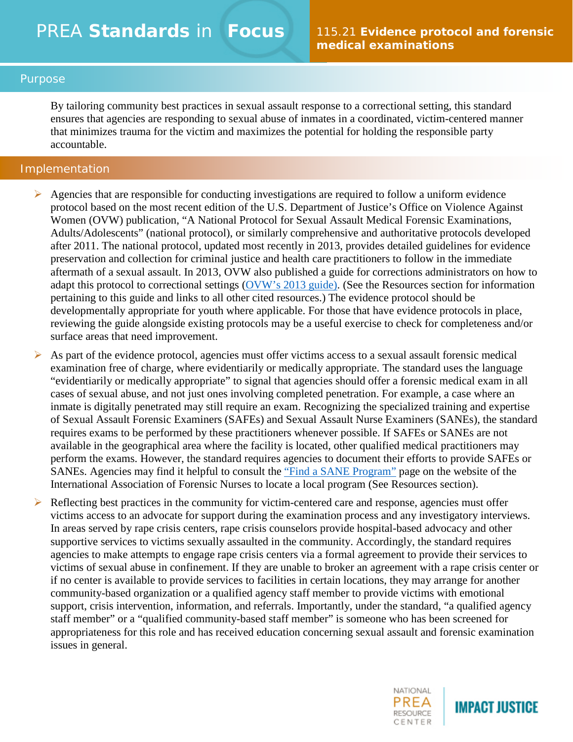#### Purpose

By tailoring community best practices in sexual assault response to a correctional setting, this standard ensures that agencies are responding to sexual abuse of inmates in a coordinated, victim-centered manner that minimizes trauma for the victim and maximizes the potential for holding the responsible party accountable.

#### Implementation

- $\triangleright$  Agencies that are responsible for conducting investigations are required to follow a uniform evidence protocol based on the most recent edition of the U.S. Department of Justice's Office on Violence Against Women (OVW) publication, "A National Protocol for Sexual Assault Medical Forensic Examinations, Adults/Adolescents" (national protocol), or similarly comprehensive and authoritative protocols developed after 2011. The national protocol, updated most recently in 2013, provides detailed guidelines for evidence preservation and collection for criminal justice and health care practitioners to follow in the immediate aftermath of a sexual assault. In 2013, OVW also published a guide for corrections administrators on how to adapt this protocol to correctional settings [\(OVW's 2013 guide\)](https://www.justice.gov/sites/default/files/ovw/legacy/2013/08/12/confinement-safe-protocol.pdf). (See the Resources section for information pertaining to this guide and links to all other cited resources.) The evidence protocol should be developmentally appropriate for youth where applicable. For those that have evidence protocols in place, reviewing the guide alongside existing protocols may be a useful exercise to check for completeness and/or surface areas that need improvement.
- $\triangleright$  As part of the evidence protocol, agencies must offer victims access to a sexual assault forensic medical examination free of charge, where evidentiarily or medically appropriate. The standard uses the language "evidentiarily or medically appropriate" to signal that agencies should offer a forensic medical exam in all cases of sexual abuse, and not just ones involving completed penetration. For example, a case where an inmate is digitally penetrated may still require an exam. Recognizing the specialized training and expertise of Sexual Assault Forensic Examiners (SAFEs) and Sexual Assault Nurse Examiners (SANEs), the standard requires exams to be performed by these practitioners whenever possible. If SAFEs or SANEs are not available in the geographical area where the facility is located, other qualified medical practitioners may perform the exams. However, the standard requires agencies to document their efforts to provide SAFEs or SANEs. Agencies may find it helpful to consult the ["Find a SANE Program"](http://www.forensicnurses.org/?page=A5) page on the website of the International Association of Forensic Nurses to locate a local program (See Resources section).
- Reflecting best practices in the community for victim-centered care and response, agencies must offer victims access to an advocate for support during the examination process and any investigatory interviews. In areas served by rape crisis centers, rape crisis counselors provide hospital-based advocacy and other supportive services to victims sexually assaulted in the community. Accordingly, the standard requires agencies to make attempts to engage rape crisis centers via a formal agreement to provide their services to victims of sexual abuse in confinement. If they are unable to broker an agreement with a rape crisis center or if no center is available to provide services to facilities in certain locations, they may arrange for another community-based organization or a qualified agency staff member to provide victims with emotional support, crisis intervention, information, and referrals. Importantly, under the standard, "a qualified agency staff member" or a "qualified community-based staff member" is someone who has been screened for appropriateness for this role and has received education concerning sexual assault and forensic examination issues in general.

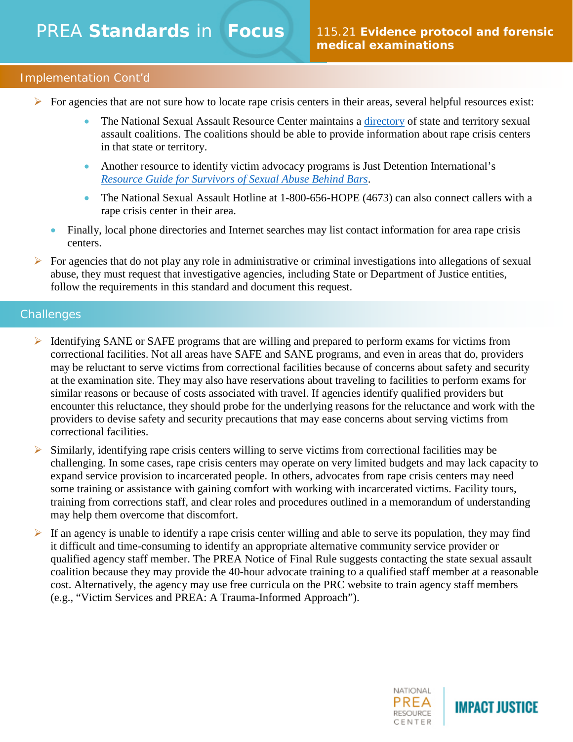# PREA **Standards** in **Focus**

## Implementation Cont'd

- $\triangleright$  For agencies that are not sure how to locate rape crisis centers in their areas, several helpful resources exist:
	- The National Sexual Assault Resource Center maintains a [directory](http://www.nsvrc.org/organizations/state-and-territory-coalitions) of state and territory sexual assault coalitions. The coalitions should be able to provide information about rape crisis centers in that state or territory.
	- Another resource to identify victim advocacy programs is Just Detention International's *[Resource Guide for Survivors of Sexual Abuse Behind Bars](https://justdetention.org/service/)*.
	- The National Sexual Assault Hotline at 1-800-656-HOPE (4673) can also connect callers with a rape crisis center in their area.
	- Finally, local phone directories and Internet searches may list contact information for area rape crisis centers.
- $\triangleright$  For agencies that do not play any role in administrative or criminal investigations into allegations of sexual abuse, they must request that investigative agencies, including State or Department of Justice entities, follow the requirements in this standard and document this request.

## **Challenges**

- $\triangleright$  Identifying SANE or SAFE programs that are willing and prepared to perform exams for victims from correctional facilities. Not all areas have SAFE and SANE programs, and even in areas that do, providers may be reluctant to serve victims from correctional facilities because of concerns about safety and security at the examination site. They may also have reservations about traveling to facilities to perform exams for similar reasons or because of costs associated with travel. If agencies identify qualified providers but encounter this reluctance, they should probe for the underlying reasons for the reluctance and work with the providers to devise safety and security precautions that may ease concerns about serving victims from correctional facilities.
- $\triangleright$  Similarly, identifying rape crisis centers willing to serve victims from correctional facilities may be challenging. In some cases, rape crisis centers may operate on very limited budgets and may lack capacity to expand service provision to incarcerated people. In others, advocates from rape crisis centers may need some training or assistance with gaining comfort with working with incarcerated victims. Facility tours, training from corrections staff, and clear roles and procedures outlined in a memorandum of understanding may help them overcome that discomfort.
- If an agency is unable to identify a rape crisis center willing and able to serve its population, they may find it difficult and time-consuming to identify an appropriate alternative community service provider or qualified agency staff member. The PREA Notice of Final Rule suggests contacting the state sexual assault coalition because they may provide the 40-hour advocate training to a qualified staff member at a reasonable cost. Alternatively, the agency may use free curricula on the PRC website to train agency staff members (e.g., "Victim Services and PREA: A Trauma-Informed Approach").



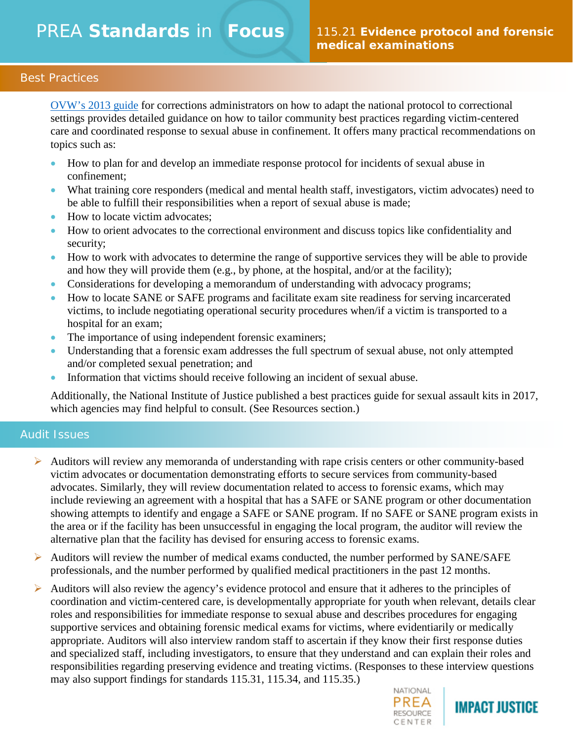### Best Practices

[OVW's 2013 guide](https://www.justice.gov/sites/default/files/ovw/legacy/2013/08/12/confinement-safe-protocol.pdf) for corrections administrators on how to adapt the national protocol to correctional settings provides detailed guidance on how to tailor community best practices regarding victim-centered care and coordinated response to sexual abuse in confinement. It offers many practical recommendations on topics such as:

- How to plan for and develop an immediate response protocol for incidents of sexual abuse in confinement;
- What training core responders (medical and mental health staff, investigators, victim advocates) need to be able to fulfill their responsibilities when a report of sexual abuse is made;
- How to locate victim advocates;
- How to orient advocates to the correctional environment and discuss topics like confidentiality and security;
- How to work with advocates to determine the range of supportive services they will be able to provide and how they will provide them (e.g., by phone, at the hospital, and/or at the facility);
- Considerations for developing a memorandum of understanding with advocacy programs;
- How to locate SANE or SAFE programs and facilitate exam site readiness for serving incarcerated victims, to include negotiating operational security procedures when/if a victim is transported to a hospital for an exam;
- The importance of using independent forensic examiners;
- Understanding that a forensic exam addresses the full spectrum of sexual abuse, not only attempted and/or completed sexual penetration; and
- Information that victims should receive following an incident of sexual abuse.

Additionally, the National Institute of Justice published a best practices guide for sexual assault kits in 2017, which agencies may find helpful to consult. (See Resources section.)

#### Audit Issues

- $\triangleright$  Auditors will review any memoranda of understanding with rape crisis centers or other community-based victim advocates or documentation demonstrating efforts to secure services from community-based advocates. Similarly, they will review documentation related to access to forensic exams, which may include reviewing an agreement with a hospital that has a SAFE or SANE program or other documentation showing attempts to identify and engage a SAFE or SANE program. If no SAFE or SANE program exists in the area or if the facility has been unsuccessful in engaging the local program, the auditor will review the alternative plan that the facility has devised for ensuring access to forensic exams.
- Auditors will review the number of medical exams conducted, the number performed by SANE/SAFE professionals, and the number performed by qualified medical practitioners in the past 12 months.
- Auditors will also review the agency's evidence protocol and ensure that it adheres to the principles of coordination and victim-centered care, is developmentally appropriate for youth when relevant, details clear roles and responsibilities for immediate response to sexual abuse and describes procedures for engaging supportive services and obtaining forensic medical exams for victims, where evidentiarily or medically appropriate. Auditors will also interview random staff to ascertain if they know their first response duties and specialized staff, including investigators, to ensure that they understand and can explain their roles and responsibilities regarding preserving evidence and treating victims. (Responses to these interview questions may also support findings for standards 115.31, 115.34, and 115.35.)



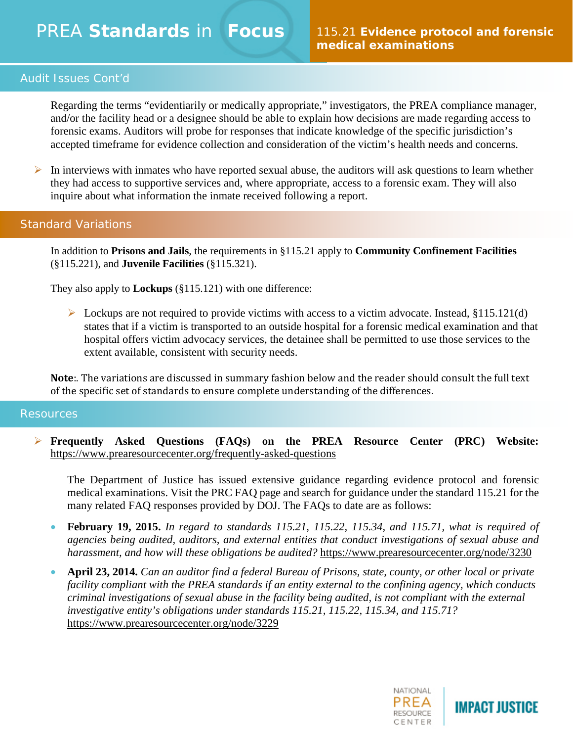# PREA **Standards** in **Focus**

## Audit Issues Cont'd

Regarding the terms "evidentiarily or medically appropriate," investigators, the PREA compliance manager, and/or the facility head or a designee should be able to explain how decisions are made regarding access to forensic exams. Auditors will probe for responses that indicate knowledge of the specific jurisdiction's accepted timeframe for evidence collection and consideration of the victim's health needs and concerns.

In interviews with inmates who have reported sexual abuse, the auditors will ask questions to learn whether they had access to supportive services and, where appropriate, access to a forensic exam. They will also inquire about what information the inmate received following a report.

## Standard Variations

In addition to **Prisons and Jails**, the requirements in §115.21 apply to **Community Confinement Facilities**  (§115.221), and **Juvenile Facilities** (§115.321).

They also apply to **Lockups** (§115.121) with one difference:

 $\triangleright$  Lockups are not required to provide victims with access to a victim advocate. Instead, §115.121(d) states that if a victim is transported to an outside hospital for a forensic medical examination and that hospital offers victim advocacy services, the detainee shall be permitted to use those services to the extent available, consistent with security needs.

**Note**:. The variations are discussed in summary fashion below and the reader should consult the full text of the specific set of standards to ensure complete understanding of the differences.

#### Resources

 **Frequently Asked Questions (FAQs) on the PREA Resource Center (PRC) Website:**  <https://www.prearesourcecenter.org/frequently-asked-questions>

The Department of Justice has issued extensive guidance regarding evidence protocol and forensic medical examinations. Visit the PRC FAQ page and search for guidance under the standard 115.21 for the many related FAQ responses provided by DOJ. The FAQs to date are as follows:

- **February 19, 2015.** *In regard to standards 115.21, 115.22, 115.34, and 115.71, what is required of agencies being audited, auditors, and external entities that conduct investigations of sexual abuse and harassment, and how will these obligations be audited?* https://www.prearesourcecenter.org/node/3230
- **April 23, 2014.** *Can an auditor find a federal Bureau of Prisons, state, county, or other local or private facility compliant with the PREA standards if an entity external to the confining agency, which conducts criminal investigations of sexual abuse in the facility being audited, is not compliant with the external investigative entity's obligations under standards 115.21, 115.22, 115.34, and 115.71?* https://www.prearesourcecenter.org/node/3229

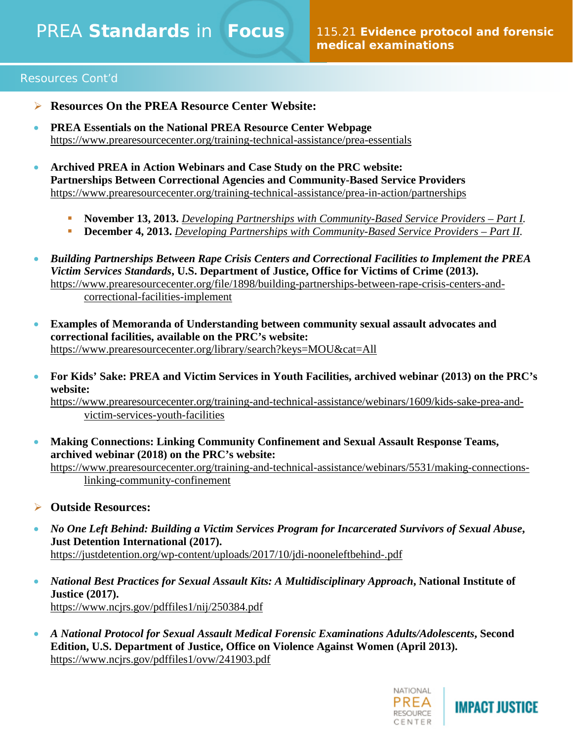## Resources Cont'd

- **Resources On the PREA Resource Center Website:**
- **PREA Essentials on the National PREA Resource Center Webpage**  https://www.prearesourcecenter.org/training-technical-assistance/prea-essentials
- **Archived PREA in Action Webinars and Case Study on the PRC website: Partnerships Between Correctional Agencies and Community-Based Service Providers** https://www.prearesourcecenter.org/training-technical-assistance/prea-in-action/partnerships
	- **November 13, 2013.** *[Developing Partnerships with Community-Based Service Providers –](https://www.prearesourcecenter.org/training-and-technical-assistance/webinars/1868/developing-partnerships-community-based-service) Part I.*
	- **December 4, 2013.** *[Developing Partnerships with Community-Based Service Providers –](https://www.prearesourcecenter.org/training-and-technical-assistance/webinars/1869/developing-partnerships-community-based-service) Part II.*
- *Building Partnerships Between Rape Crisis Centers and Correctional Facilities to Implement the PREA Victim Services Standards***, U.S. Department of Justice, Office for Victims of Crime (2013).** [https://www.prearesourcecenter.org/file/1898/building-partnerships-between-rape-crisis-centers-and](https://www.prearesourcecenter.org/file/1898/building-partnerships-between-rape-crisis-centers-and-correctional-facilities-implement)[correctional-facilities-implement](https://www.prearesourcecenter.org/file/1898/building-partnerships-between-rape-crisis-centers-and-correctional-facilities-implement)
- **Examples of Memoranda of Understanding between community sexual assault advocates and correctional facilities, available on the PRC's website:** <https://www.prearesourcecenter.org/library/search?keys=MOU&cat=All>
- **For Kids' Sake: PREA and Victim Services in Youth Facilities, archived webinar (2013) on the PRC's website:**

[https://www.prearesourcecenter.org/training-and-technical-assistance/webinars/1609/kids-sake-prea-and](https://www.prearesourcecenter.org/training-and-technical-assistance/webinars/1609/kids-sake-prea-and-victim-services-youth-facilities)[victim-services-youth-facilities](https://www.prearesourcecenter.org/training-and-technical-assistance/webinars/1609/kids-sake-prea-and-victim-services-youth-facilities)

• **Making Connections: Linking Community Confinement and Sexual Assault Response Teams, archived webinar (2018) on the PRC's website:** [https://www.prearesourcecenter.org/training-and-technical-assistance/webinars/5531/making-connections-](https://www.prearesourcecenter.org/training-and-technical-assistance/webinars/5531/making-connections-linking-community-confinement)

[linking-community-confinement](https://www.prearesourcecenter.org/training-and-technical-assistance/webinars/5531/making-connections-linking-community-confinement)

- **Outside Resources:**
- *No One Left Behind: Building a Victim Services Program for Incarcerated Survivors of Sexual Abuse***, Just Detention International (2017).** <https://justdetention.org/wp-content/uploads/2017/10/jdi-nooneleftbehind-.pdf>
- *National Best Practices for Sexual Assault Kits: A Multidisciplinary Approach***, National Institute of Justice (2017).** https://www.ncjrs.gov/pdffiles1/nij/250384.pdf
- *A National Protocol for Sexual Assault Medical Forensic Examinations Adults/Adolescents***, Second Edition, U.S. Department of Justice, Office on Violence Against Women (April 2013).** <https://www.ncjrs.gov/pdffiles1/ovw/241903.pdf>